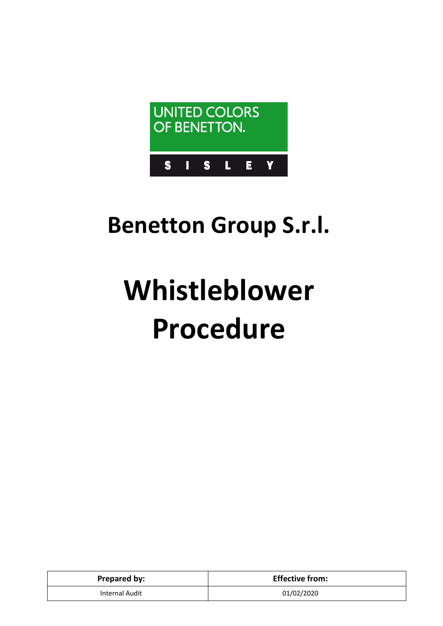

# **Benetton Group S.r.l.**

# **Whistleblower Procedure**

| <b>Prepared by:</b> | <b>Effective from:</b> |
|---------------------|------------------------|
| Internal Audit      | 01/02/2020             |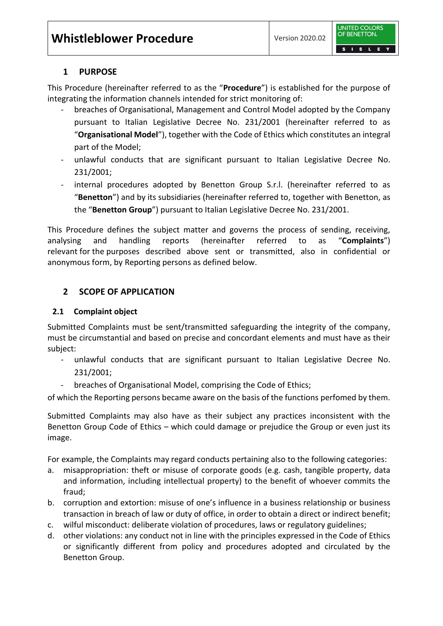

#### **1 PURPOSE**

This Procedure (hereinafter referred to as the "**Procedure**") is established for the purpose of integrating the information channels intended for strict monitoring of:

- breaches of Organisational, Management and Control Model adopted by the Company pursuant to Italian Legislative Decree No. 231/2001 (hereinafter referred to as "**Organisational Model**"), together with the Code of Ethics which constitutes an integral part of the Model;
- unlawful conducts that are significant pursuant to Italian Legislative Decree No. 231/2001;
- internal procedures adopted by Benetton Group S.r.l. (hereinafter referred to as "**Benetton**") and [by](https://dictionary.cambridge.org/it/dizionario/inglese-italiano/by) its subsidiaries (hereinafter referred to, together with Benetton, as the "**Benetton Group**") pursuant to Italian Legislative Decree No. 231/2001.

This Procedure defines the subject matter and governs the process of sending, receiving, analysing and handling reports (hereinafter referred to as "**Complaints**") [relevant](https://dictionary.cambridge.org/it/dizionario/inglese-italiano/relevant) [for](https://dictionary.cambridge.org/it/dizionario/inglese-italiano/for) [the](https://dictionary.cambridge.org/it/dizionario/inglese-italiano/the) purposes described [above](https://dictionary.cambridge.org/it/dizionario/inglese-italiano/above) sent or transmitted, also in confidential or anonymous form, by Reporting persons as defined below.

# **2 SCOPE OF APPLICATION**

#### **2.1 [Complaint](https://dictionary.cambridge.org/it/dizionario/inglese-italiano/report) [object](https://dictionary.cambridge.org/it/dizionario/inglese-italiano/object)**

Submitted Complaints must be sent/transmitted safeguarding the integrity of the company, must be circumstantial and based on precise and concordant elements and must have as their subject:

- unlawful conducts that are significant pursuant to Italian Legislative Decree No. 231/2001;
- breaches of Organisational Model, comprising the Code of Ethics;

of which the Reporting persons became aware on the basis of the functions perfomed by them.

Submitted Complaints may also have as their subject any practices inconsistent with the Benetton Group Code of Ethics – which could damage or prejudice the Group or even just its image.

For example, the Complaints may regard conducts pertaining also to the following categories:

- a. misappropriation: theft or misuse of corporate goods (e.g. cash, tangible property, data and information, including intellectual property) to the benefit of whoever commits the fraud;
- b. corruption and extortion: misuse of one's influence in a business relationship or business transaction in breach of law or duty of office, in order to obtain a direct or indirect benefit;
- c. wilful misconduct: deliberate violation of procedures, laws or regulatory guidelines;
- d. other violations: any conduct not in line with the principles expressed in the Code of Ethics or significantly different from policy and procedures adopted and circulated by the Benetton Group.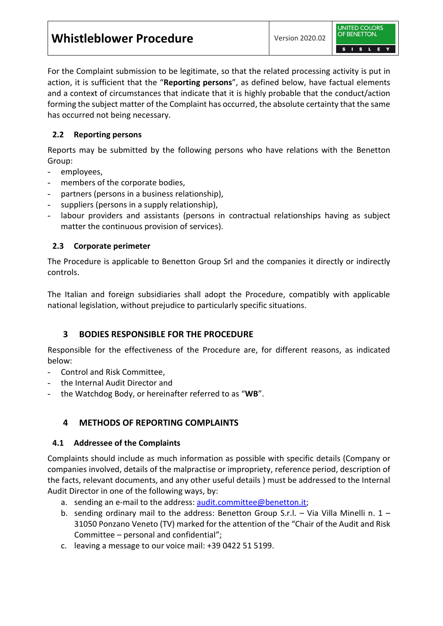| <b>Whistleblower Procedure</b> | Version 2020.02 |
|--------------------------------|-----------------|
|--------------------------------|-----------------|



For the Complaint submission to be legitimate, so that the related processing activity is put in action, it is sufficient that the "**Reporting persons**", as defined below, have factual elements and a context of circumstances that indicate that it is highly probable that the conduct/action forming the subject matter of the Complaint has occurred, the absolute certainty that the same has occurred not being necessary.

### **2.2 Reporting persons**

Reports may be submitted by the following persons who have relations with the Benetton Group:

- employees,
- members of the corporate bodies,
- partners (persons in a business relationship),
- suppliers (persons in a supply relationship),
- labour providers and assistants (persons in contractual relationships having as subject matter the continuous provision of services).

#### **2.3 Corporate perimeter**

The Procedure is applicable to Benetton Group Srl and the companies it directly or indirectly controls.

The Italian and foreign subsidiaries shall adopt the Procedure, compatibly with applicable national legislation, without prejudice to particularly specific situations.

# **3 BODIES RESPONSIBLE FOR THE PROCEDURE**

Responsible for the effectiveness of the Procedure are, for different reasons, as indicated below:

- Control and Risk Committee,
- the Internal Audit Director and
- the Watchdog Body, or hereinafter referred to as "**WB**".

# **4 METHODS OF REPORTING COMPLAINTS**

#### **4.1 Addressee of the Complaints**

Complaints should include as much information as possible with specific details (Company or companies involved, details of the malpractise or impropriety, reference period, description of the facts, relevant documents, and any other useful details ) must be addressed to the Internal Audit Director in one of the following ways, by:

- a. sending an e-mail to the address: [audit.committee@benetton.it;](mailto:audit.committee@benetton.it)
- b. sending ordinary mail to the address: Benetton Group S.r.l. Via Villa Minelli n.  $1$  31050 Ponzano Veneto (TV) marked for the attention of the "Chair of the Audit and Risk Committee – personal and confidential";
- c. leaving a message to our voice mail: +39 0422 51 5199.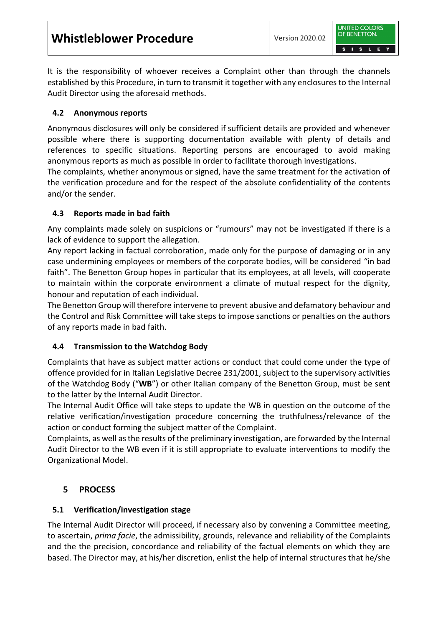**Whistleblower Procedure** Version 2020.02



It is the responsibility of whoever receives a Complaint other than through the channels established by this Procedure, in turn to transmit it together with any enclosures to the Internal Audit Director using the aforesaid methods.

#### **4.2 Anonymous reports**

Anonymous disclosures will only be considered if sufficient details are provided and whenever possible where there is supporting documentation available with plenty of details and references to specific situations. Reporting persons are encouraged to avoid making anonymous reports as much as possible in order to facilitate thorough investigations.

The complaints, whether anonymous or signed, have the same treatment for the activation of the verification procedure and for the respect of the absolute confidentiality of the contents and/or the sender.

#### **4.3 Reports made in bad faith**

Any complaints made solely on suspicions or "rumours" may not be investigated if there is a lack of evidence to support the allegation.

Any report lacking in factual corroboration, made only for the purpose of damaging or in any case undermining employees or members of the corporate bodies, will be considered "in bad faith". The Benetton Group hopes in particular that its employees, at all levels, will cooperate to maintain within the corporate environment a climate of mutual respect for the dignity, honour and reputation of each individual.

The Benetton Group will therefore intervene to prevent abusive and defamatory behaviour and the Control and Risk Committee will take steps to impose sanctions or penalties on the authors of any reports made in bad faith.

#### **4.4 Transmission to the Watchdog Body**

Complaints that have as subject matter actions or conduct that could come under the type of offence provided for in Italian Legislative Decree 231/2001, subject to the supervisory activities of the Watchdog Body ("**WB**") or other Italian company of the Benetton Group, must be sent to the latter by the Internal Audit Director.

The Internal Audit Office will take steps to update the WB in question on the outcome of the relative verification/investigation procedure concerning the truthfulness/relevance of the action or conduct forming the subject matter of the Complaint.

Complaints, as well as the results of the preliminary investigation, are forwarded by the Internal Audit Director to the WB even if it is still appropriate to evaluate interventions to modify the Organizational Model.

#### **5 PROCESS**

#### **5.1 Verification/investigation stage**

The Internal Audit Director will proceed, if necessary also by convening a Committee meeting, to ascertain, *prima facie*, the admissibility, grounds, relevance and reliability of the Complaints and the the precision, concordance and reliability of the factual elements on which they are based. The Director may, at his/her discretion, enlist the help of internal structures that he/she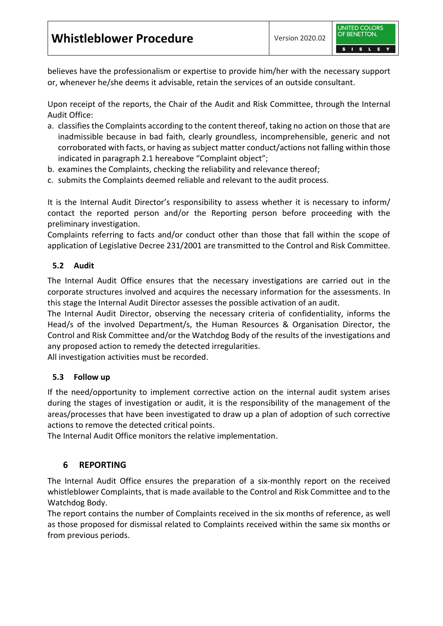believes have the professionalism or expertise to provide him/her with the necessary support or, whenever he/she deems it advisable, retain the services of an outside consultant.

Upon receipt of the reports, the Chair of the Audit and Risk Committee, through the Internal Audit Office:

- a. classifies the Complaints according to the content thereof, taking no action on those that are inadmissible because in bad faith, clearly groundless, incomprehensible, generic and not corroborated with facts, or having as subject matter conduct/actions not falling within those indicated in paragraph 2.1 hereabove "Complaint object";
- b. examines the Complaints, checking the reliability and relevance thereof;
- c. submits the Complaints deemed reliable and relevant to the audit process.

It is the Internal Audit Director's responsibility to assess whether it is necessary to inform/ contact the reported person and/or the Reporting person before proceeding with the preliminary investigation.

Complaints referring to facts and/or conduct other than those that fall within the scope of application of Legislative Decree 231/2001 are transmitted to the Control and Risk Committee.

# **5.2 Audit**

The Internal Audit Office ensures that the necessary investigations are carried out in the corporate structures involved and acquires the necessary information for the assessments. In this stage the Internal Audit Director assesses the possible activation of an audit.

The Internal Audit Director, observing the necessary criteria of confidentiality, informs the Head/s of the involved Department/s, the Human Resources & Organisation Director, the Control and Risk Committee and/or the Watchdog Body of the results of the investigations and any proposed action to remedy the detected irregularities.

All investigation activities must be recorded.

#### **5.3 Follow up**

If the need/opportunity to implement corrective action on the internal audit system arises during the stages of investigation or audit, it is the responsibility of the management of the areas/processes that have been investigated to draw up a plan of adoption of such corrective actions to remove the detected critical points.

The Internal Audit Office monitors the relative implementation.

# **6 REPORTING**

The Internal Audit Office ensures the preparation of a six-monthly report on the received whistleblower Complaints, that is made available to the Control and Risk Committee and to the Watchdog Body.

The report contains the number of Complaints received in the six months of reference, as well as those proposed for dismissal related to Complaints received within the same six months or from previous periods.